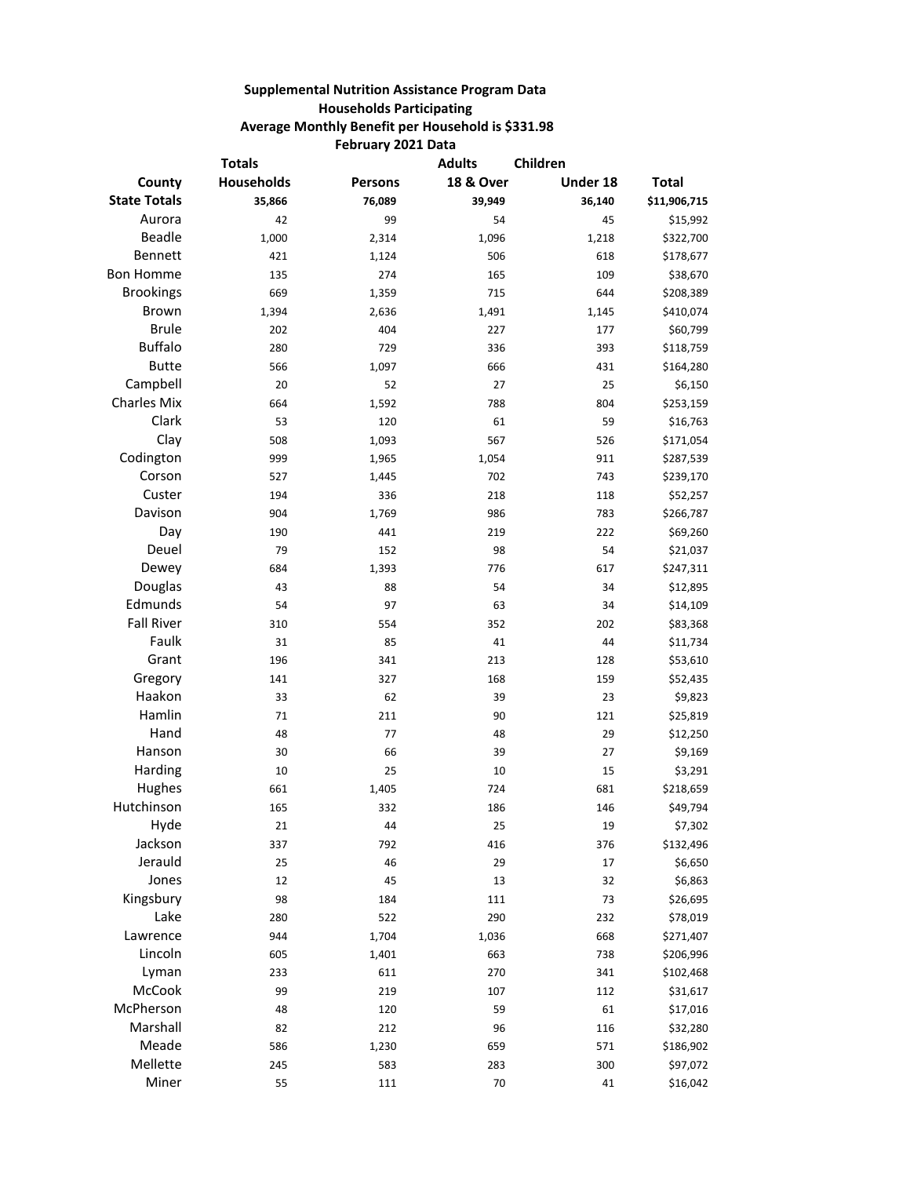## **Supplemental Nutrition Assistance Program Data Households Participating Average Monthly Benefit per Household is \$331.98 February 2021 Data**

| <b>Totals</b>       |            | <b>Adults</b>  | Children             |          |              |
|---------------------|------------|----------------|----------------------|----------|--------------|
| County              | Households | <b>Persons</b> | <b>18 &amp; Over</b> | Under 18 | <b>Total</b> |
| <b>State Totals</b> | 35,866     | 76,089         | 39,949               | 36,140   | \$11,906,715 |
| Aurora              | 42         | 99             | 54                   | 45       | \$15,992     |
| <b>Beadle</b>       | 1,000      | 2,314          | 1,096                | 1,218    | \$322,700    |
| Bennett             | 421        | 1,124          | 506                  | 618      | \$178,677    |
| <b>Bon Homme</b>    | 135        | 274            | 165                  | 109      | \$38,670     |
| <b>Brookings</b>    | 669        | 1,359          | 715                  | 644      | \$208,389    |
| Brown               | 1,394      | 2,636          | 1,491                | 1,145    | \$410,074    |
| <b>Brule</b>        | 202        | 404            | 227                  | 177      | \$60,799     |
| <b>Buffalo</b>      | 280        | 729            | 336                  | 393      | \$118,759    |
| <b>Butte</b>        | 566        | 1,097          | 666                  | 431      | \$164,280    |
| Campbell            | 20         | 52             | 27                   | 25       | \$6,150      |
| <b>Charles Mix</b>  | 664        | 1,592          | 788                  | 804      | \$253,159    |
| Clark               | 53         | 120            | 61                   | 59       | \$16,763     |
| Clay                | 508        | 1,093          | 567                  | 526      | \$171,054    |
| Codington           | 999        | 1,965          | 1,054                | 911      | \$287,539    |
| Corson              | 527        | 1,445          | 702                  | 743      | \$239,170    |
| Custer              | 194        | 336            | 218                  | 118      | \$52,257     |
| Davison             | 904        | 1,769          | 986                  | 783      | \$266,787    |
| Day                 | 190        | 441            | 219                  | 222      | \$69,260     |
| Deuel               | 79         | 152            | 98                   | 54       | \$21,037     |
| Dewey               | 684        | 1,393          | 776                  | 617      | \$247,311    |
| Douglas             | 43         | 88             | 54                   | 34       | \$12,895     |
| Edmunds             | 54         | 97             | 63                   | 34       | \$14,109     |
| <b>Fall River</b>   | 310        | 554            | 352                  | 202      | \$83,368     |
| Faulk               | 31         | 85             | 41                   | 44       | \$11,734     |
| Grant               | 196        | 341            | 213                  | 128      | \$53,610     |
| Gregory             | 141        | 327            | 168                  | 159      | \$52,435     |
| Haakon              | 33         | 62             | 39                   | 23       | \$9,823      |
| Hamlin              | 71         | 211            | 90                   | 121      | \$25,819     |
| Hand                | 48         | 77             | 48                   | 29       | \$12,250     |
| Hanson              | 30         | 66             | 39                   | 27       | \$9,169      |
| Harding             | 10         | 25             | 10                   | 15       | \$3,291      |
| Hughes              | 661        | 1,405          | 724                  | 681      | \$218,659    |
| Hutchinson          | 165        | 332            | 186                  | 146      | \$49,794     |
| Hyde                | 21         | 44             | 25                   | 19       | \$7,302      |
| Jackson             | 337        | 792            | 416                  | 376      | \$132,496    |
| Jerauld             | 25         | 46             | 29                   | 17       | \$6,650      |
| Jones               | 12         | 45             | 13                   | 32       | \$6,863      |
| Kingsbury           | 98         | 184            | 111                  | 73       | \$26,695     |
| Lake                | 280        | 522            | 290                  | 232      | \$78,019     |
| Lawrence            | 944        | 1,704          | 1,036                | 668      | \$271,407    |
| Lincoln             | 605        | 1,401          | 663                  | 738      | \$206,996    |
| Lyman               | 233        | 611            | 270                  | 341      | \$102,468    |
| McCook              | 99         | 219            | 107                  | 112      | \$31,617     |
| McPherson           | 48         | 120            | 59                   | 61       | \$17,016     |
| Marshall            | 82         | 212            | 96                   | 116      | \$32,280     |
| Meade               | 586        | 1,230          | 659                  | 571      | \$186,902    |
| Mellette            | 245        | 583            | 283                  | 300      | \$97,072     |
| Miner               | 55         | 111            | $70\,$               | 41       | \$16,042     |
|                     |            |                |                      |          |              |